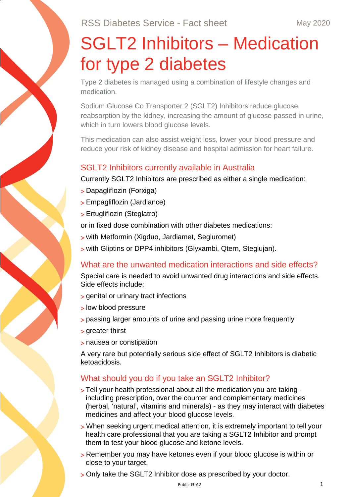# SGLT2 Inhibitors – Medication for type 2 diabetes

Type 2 diabetes is managed using a combination of lifestyle changes and medication.

Sodium Glucose Co Transporter 2 (SGLT2) Inhibitors reduce glucose reabsorption by the kidney, increasing the amount of glucose passed in urine, which in turn lowers blood glucose levels.

This medication can also assist weight loss, lower your blood pressure and reduce your risk of kidney disease and hospital admission for heart failure.

#### SGLT2 Inhibitors currently available in Australia

Currently SGLT2 Inhibitors are prescribed as either a single medication:

- > Dapagliflozin (Forxiga)
- > Empagliflozin (Jardiance)
- > Ertugliflozin (Steglatro)

or in fixed dose combination with other diabetes medications:

- > with Metformin (Xigduo, Jardiamet, Segluromet)
- > with Gliptins or DPP4 inhibitors (Glyxambi, Qtern, Steglujan).

# What are the unwanted medication interactions and side effects?

Special care is needed to avoid unwanted drug interactions and side effects. Side effects include:

- > genital or urinary tract infections
- > low blood pressure
- > passing larger amounts of urine and passing urine more frequently
- > greater thirst
- > nausea or constipation

A very rare but potentially serious side effect of SGLT2 Inhibitors is diabetic ketoacidosis.

# What should you do if you take an SGLT2 Inhibitor?

- > Tell your health professional about all the medication you are taking including prescription, over the counter and complementary medicines (herbal, 'natural', vitamins and minerals) - as they may interact with diabetes medicines and affect your blood glucose levels.
- > When seeking urgent medical attention, it is extremely important to tell your health care professional that you are taking a SGLT2 Inhibitor and prompt them to test your blood glucose and ketone levels.
- > Remember you may have ketones even if your blood glucose is within or close to your target.
- > Only take the SGLT2 Inhibitor dose as prescribed by your doctor.